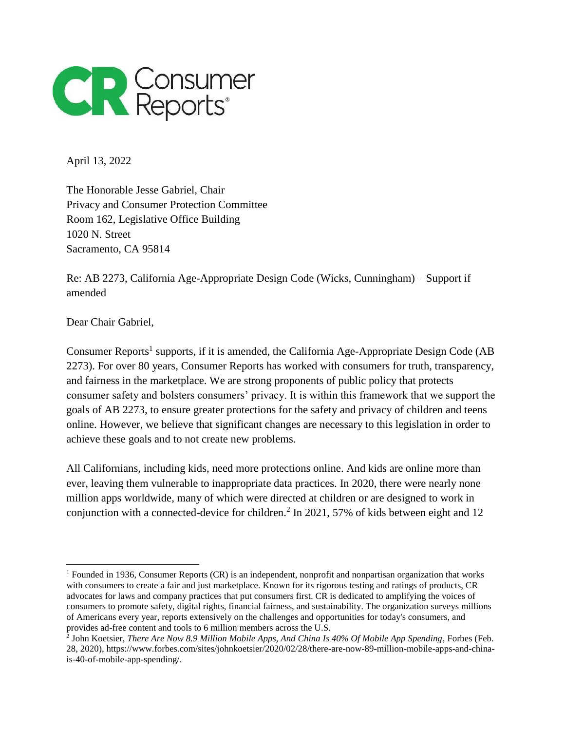

April 13, 2022

The Honorable Jesse Gabriel, Chair Privacy and Consumer Protection Committee Room 162, Legislative Office Building 1020 N. Street Sacramento, CA 95814

Re: AB 2273, California Age-Appropriate Design Code (Wicks, Cunningham) – Support if amended

Dear Chair Gabriel,

Consumer Reports<sup>1</sup> supports, if it is amended, the California Age-Appropriate Design Code (AB 2273). For over 80 years, Consumer Reports has worked with consumers for truth, transparency, and fairness in the marketplace. We are strong proponents of public policy that protects consumer safety and bolsters consumers' privacy. It is within this framework that we support the goals of AB 2273, to ensure greater protections for the safety and privacy of children and teens online. However, we believe that significant changes are necessary to this legislation in order to achieve these goals and to not create new problems.

All Californians, including kids, need more protections online. And kids are online more than ever, leaving them vulnerable to inappropriate data practices. In 2020, there were nearly none million apps worldwide, many of which were directed at children or are designed to work in conjunction with a connected-device for children.<sup>2</sup> In 2021, 57% of kids between eight and 12

<sup>1</sup> Founded in 1936, Consumer Reports (CR) is an independent, nonprofit and nonpartisan organization that works with consumers to create a fair and just marketplace. Known for its rigorous testing and ratings of products, CR advocates for laws and company practices that put consumers first. CR is dedicated to amplifying the voices of consumers to promote safety, digital rights, financial fairness, and sustainability. The organization surveys millions of Americans every year, reports extensively on the challenges and opportunities for today's consumers, and provides ad-free content and tools to 6 million members across the U.S.

<sup>2</sup> John Koetsier, *There Are Now 8.9 Million Mobile Apps, And China Is 40% Of Mobile App Spending*, Forbes (Feb. 28, 2020), https://www.forbes.com/sites/johnkoetsier/2020/02/28/there-are-now-89-million-mobile-apps-and-chinais-40-of-mobile-app-spending/.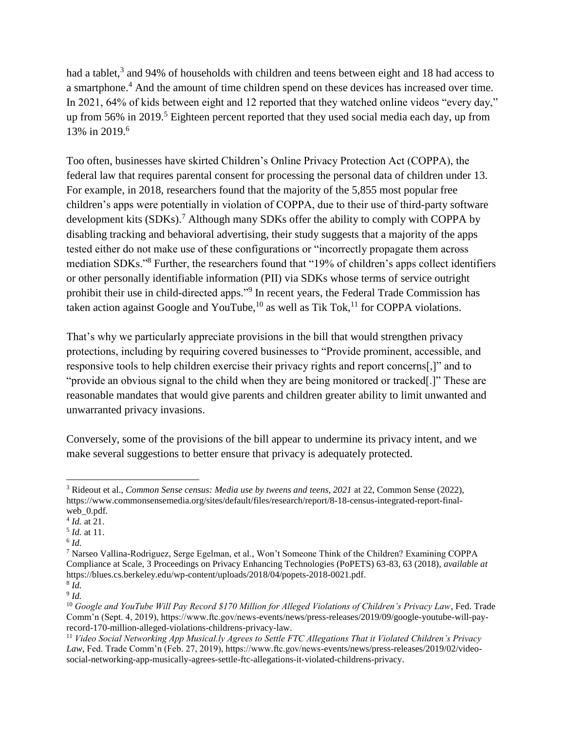had a tablet,<sup>3</sup> and 94% of households with children and teens between eight and 18 had access to a smartphone.<sup>4</sup> And the amount of time children spend on these devices has increased over time. In 2021, 64% of kids between eight and 12 reported that they watched online videos "every day," up from  $56\%$  in  $2019$ .<sup>5</sup> Eighteen percent reported that they used social media each day, up from 13% in 2019.<sup>6</sup>

Too often, businesses have skirted Children's Online Privacy Protection Act (COPPA), the federal law that requires parental consent for processing the personal data of children under 13. For example, in 2018, researchers found that the majority of the 5,855 most popular free children's apps were potentially in violation of COPPA, due to their use of third-party software development kits (SDKs).<sup>7</sup> Although many SDKs offer the ability to comply with COPPA by disabling tracking and behavioral advertising, their study suggests that a majority of the apps tested either do not make use of these configurations or "incorrectly propagate them across mediation SDKs."<sup>8</sup> Further, the researchers found that "19% of children's apps collect identifiers or other personally identifiable information (PII) via SDKs whose terms of service outright prohibit their use in child-directed apps."<sup>9</sup> In recent years, the Federal Trade Commission has taken action against Google and YouTube, $^{10}$  as well as Tik Tok, $^{11}$  for COPPA violations.

That's why we particularly appreciate provisions in the bill that would strengthen privacy protections, including by requiring covered businesses to "Provide prominent, accessible, and responsive tools to help children exercise their privacy rights and report concerns[,]" and to "provide an obvious signal to the child when they are being monitored or tracked[.]" These are reasonable mandates that would give parents and children greater ability to limit unwanted and unwarranted privacy invasions.

Conversely, some of the provisions of the bill appear to undermine its privacy intent, and we make several suggestions to better ensure that privacy is adequately protected.

 $\overline{a}$ 

<sup>3</sup> Rideout et al., *Common Sense census: Media use by tweens and teens, 2021* at 22, Common Sense (2022), https://www.commonsensemedia.org/sites/default/files/research/report/8-18-census-integrated-report-finalweb\_0.pdf.

<sup>4</sup> *Id.* at 21.

<sup>5</sup> *Id.* at 11.

<sup>6</sup> *Id.*

<sup>7</sup> Narseo Vallina-Rodriguez, Serge Egelman, et al., Won't Someone Think of the Children? Examining COPPA Compliance at Scale, 3 Proceedings on Privacy Enhancing Technologies (PoPETS) 63-83, 63 (2018), *available at* https://blues.cs.berkeley.edu/wp-content/uploads/2018/04/popets-2018-0021.pdf.

<sup>8</sup> *Id.* 9 *Id.*

<sup>10</sup> *Google and YouTube Will Pay Record \$170 Million for Alleged Violations of Children's Privacy Law*, Fed. Trade Comm'n (Sept. 4, 2019), https://www.ftc.gov/news-events/news/press-releases/2019/09/google-youtube-will-payrecord-170-million-alleged-violations-childrens-privacy-law.

<sup>11</sup> *Video Social Networking App Musical.ly Agrees to Settle FTC Allegations That it Violated Children's Privacy*  Law, Fed. Trade Comm'n (Feb. 27, 2019), https://www.ftc.gov/news-events/news/press-releases/2019/02/videosocial-networking-app-musically-agrees-settle-ftc-allegations-it-violated-childrens-privacy.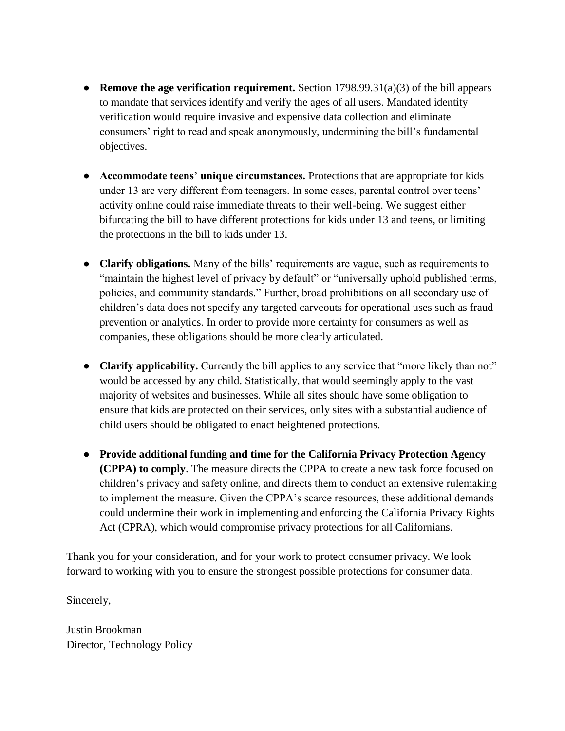- **Remove the age verification requirement.** Section 1798.99.31(a)(3) of the bill appears to mandate that services identify and verify the ages of all users. Mandated identity verification would require invasive and expensive data collection and eliminate consumers' right to read and speak anonymously, undermining the bill's fundamental objectives.
- **Accommodate teens' unique circumstances.** Protections that are appropriate for kids under 13 are very different from teenagers. In some cases, parental control over teens' activity online could raise immediate threats to their well-being. We suggest either bifurcating the bill to have different protections for kids under 13 and teens, or limiting the protections in the bill to kids under 13.
- **Clarify obligations.** Many of the bills' requirements are vague, such as requirements to "maintain the highest level of privacy by default" or "universally uphold published terms, policies, and community standards." Further, broad prohibitions on all secondary use of children's data does not specify any targeted carveouts for operational uses such as fraud prevention or analytics. In order to provide more certainty for consumers as well as companies, these obligations should be more clearly articulated.
- **Clarify applicability.** Currently the bill applies to any service that "more likely than not" would be accessed by any child. Statistically, that would seemingly apply to the vast majority of websites and businesses. While all sites should have some obligation to ensure that kids are protected on their services, only sites with a substantial audience of child users should be obligated to enact heightened protections.
- **Provide additional funding and time for the California Privacy Protection Agency (CPPA) to comply**. The measure directs the CPPA to create a new task force focused on children's privacy and safety online, and directs them to conduct an extensive rulemaking to implement the measure. Given the CPPA's scarce resources, these additional demands could undermine their work in implementing and enforcing the California Privacy Rights Act (CPRA), which would compromise privacy protections for all Californians.

Thank you for your consideration, and for your work to protect consumer privacy. We look forward to working with you to ensure the strongest possible protections for consumer data.

Sincerely,

Justin Brookman Director, Technology Policy